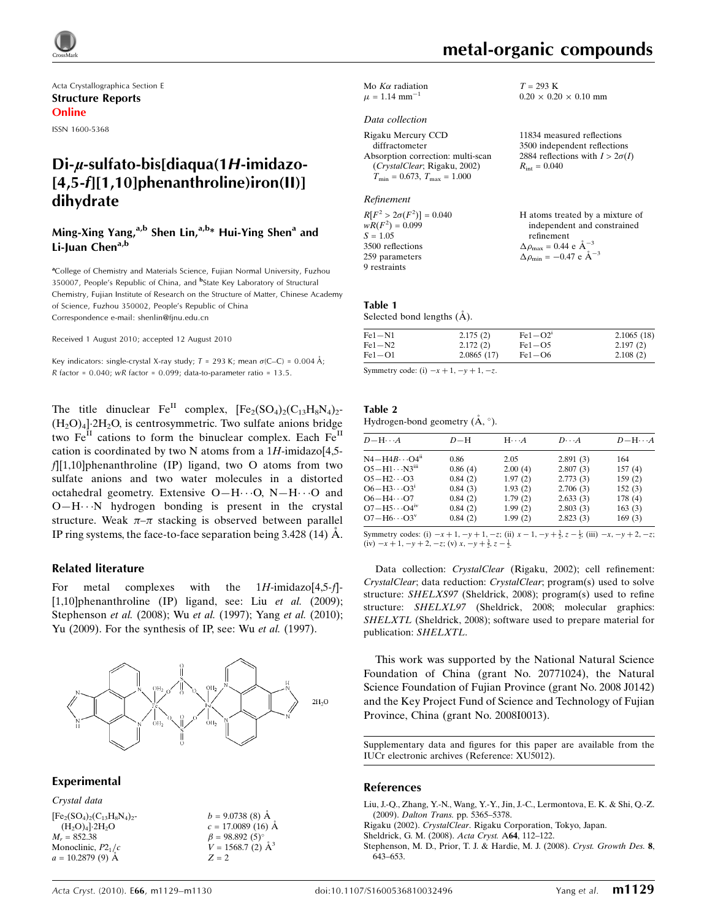

Acta Crystallographica Section E Structure Reports Online

ISSN 1600-5368

# $Di$ - $\mu$ -sulfato-bis[diaqua(1H-imidazo-[4,5-f][1,10]phenanthroline)iron(II)] dihydrate

# Ming-Xing Yang, $a,b$  Shen Lin, $a,b*$  Hui-Ying Shen<sup>a</sup> and Li-Juan Chen<sup>a,b</sup>

<sup>a</sup>College of Chemistry and Materials Science, Fujian Normal University, Fuzhou 350007, People's Republic of China, and <sup>b</sup>State Key Laboratory of Structural Chemistry, Fujian Institute of Research on the Structure of Matter, Chinese Academy of Science, Fuzhou 350002, People's Republic of China Correspondence e-mail: shenlin@fjnu.edu.cn

Received 1 August 2010; accepted 12 August 2010

Key indicators: single-crystal X-ray study;  $T = 293$  K; mean  $\sigma$ (C–C) = 0.004 Å; R factor =  $0.040$ ; wR factor =  $0.099$ ; data-to-parameter ratio =  $13.5$ .

The title dinuclear  $Fe^{II}$  complex,  $[Fe_2(SO_4)_2(C_{13}H_8N_4)_2$ - $(H_2O)_4$ .  $2H_2O$ , is centrosymmetric. Two sulfate anions bridge two  $Fe<sup>II</sup>$  cations to form the binuclear complex. Each  $Fe<sup>II</sup>$ cation is coordinated by two N atoms from a  $1H$ -imidazo[4,5 $f|[1,10]$ phenanthroline (IP) ligand, two O atoms from two sulfate anions and two water molecules in a distorted octahedral geometry. Extensive  $O-H\cdots O$ ,  $N-H\cdots O$  and O-H···N hydrogen bonding is present in the crystal structure. Weak  $\pi-\pi$  stacking is observed between parallel IP ring systems, the face-to-face separation being  $3.428(14)$  Å.

### Related literature

For metal complexes with the  $1H$ -imidazo $[4,5-f]$ -[1,10]phenanthroline (IP) ligand, see: Liu et al. (2009); Stephenson *et al.* (2008); Wu *et al.* (1997); Yang *et al.* (2010); Yu (2009). For the synthesis of IP, see: Wu et al. (1997).



Experimental

Crystal data  $[Fe<sub>2</sub>(SO<sub>4</sub>)<sub>2</sub>(C<sub>13</sub>H<sub>8</sub>N<sub>4</sub>)<sub>2</sub>$  $(H_2O)_4$ <sup>2H<sub>2</sub>O</sup>  $M_r = 852.38$ Monoclinic,  $P2<sub>1</sub>/c$  $a = 10.2879(9)$  Å  $b = 9.0738(8)$  Å  $c = 17.0089$  (16) Å  $\beta = 98.892(5)$ °  $V = 1568.7$  (2)  $\AA^3$  $Z = 2$ 

metal-organic compounds

 $0.20 \times 0.20 \times 0.10$  mm

11834 measured reflections 3500 independent reflections 2884 reflections with  $I > 2\sigma(I)$ 

H atoms treated by a mixture of independent and constrained

 $T = 293$  K

 $R_{\rm int} = 0.040$ 

refinement  $\Delta \rho_{\text{max}} = 0.44 \text{ e A}^{-3}$  $\Delta \rho_{\text{min}} = -0.47 \text{ e } \text{\AA}^{-3}$ 

Mo  $K\alpha$  radiation  $\mu = 1.14$  mm<sup>-1</sup>

#### Data collection

Rigaku Mercury CCD diffractometer Absorption correction: multi-scan (CrystalClear; Rigaku, 2002)  $T_{\text{min}} = 0.673, T_{\text{max}} = 1.000$ 

Refinement

 $R[F^2 > 2\sigma(F^2)] = 0.040$ <br>  $wR(F^2) = 0.099$  $S = 1.05$ 3500 reflections 259 parameters 9 restraints

#### Table 1 Selected bond lengths  $(\AA)$ .

| $Fe1 - N1$ | 2.175(2)   | $Fe1-O2'$  | 2.1065(18) |
|------------|------------|------------|------------|
| $Fe1-N2$   | 2.172(2)   | $Fe1 - O5$ | 2.197(2)   |
| $Fe1-O1$   | 2.0865(17) | $Fe1-O6$   | 2.108(2)   |

Symmetry code: (i)  $-x+1, -y+1, -z$ .

| Table 2                                       |  |  |
|-----------------------------------------------|--|--|
| Hydrogen-bond geometry $(\dot{A}, \degree)$ . |  |  |

| $D$ $\!-\mathrm{H}\cdots A$ | D-H     | $H \cdot \cdot \cdot A$ | $D\cdot\cdot\cdot A$ | $D - H \cdots A$ |
|-----------------------------|---------|-------------------------|----------------------|------------------|
| $N4 - H4B \cdots O4n$       | 0.86    | 2.05                    | 2.891(3)             | 164              |
| $O5 - H1 \cdots N3m$        | 0.86(4) | 2.00(4)                 | 2.807(3)             | 157(4)           |
| $O5 - H2 \cdots O3$         | 0.84(2) | 1.97(2)                 | 2.773(3)             | 159(2)           |
| $O6 - H3 \cdots O3^1$       | 0.84(3) | 1.93(2)                 | 2.706(3)             | 152(3)           |
| $O6 - H4 \cdots O7$         | 0.84(2) | 1.79(2)                 | 2.633(3)             | 178(4)           |
| $O7 - H5 \cdots O4^W$       | 0.84(2) | 1.99(2)                 | 2.803(3)             | 163(3)           |
| $O7 - H6 \cdots O3^v$       | 0.84(2) | 1.99(2)                 | 2.823(3)             | 169(3)           |
|                             |         |                         |                      |                  |

Symmetry codes: (i)  $-x + 1$ ,  $-y + 1$ ,  $-z$ ; (ii)  $x - 1$ ,  $-y + \frac{3}{2}$ ,  $z - \frac{1}{2}$ ; (iii)  $-x$ ,  $-y + 2$ ,  $-z$ ; (iv)  $-x+1$ ,  $-y+2$ ,  $-z$ ; (v)  $x$ ,  $-y+\frac{3}{2}$ ,  $z-\frac{1}{2}$ .

Data collection: CrystalClear (Rigaku, 2002); cell refinement: CrystalClear; data reduction: CrystalClear; program(s) used to solve structure: SHELXS97 (Sheldrick, 2008); program(s) used to refine structure: SHELXL97 (Sheldrick, 2008; molecular graphics: SHELXTL (Sheldrick, 2008); software used to prepare material for publication: SHELXTL.

This work was supported by the National Natural Science Foundation of China (grant No. 20771024), the Natural Science Foundation of Fujian Province (grant No. 2008 J0142) and the Key Project Fund of Science and Technology of Fujian Province, China (grant No. 2008I0013).

Supplementary data and figures for this paper are available from the IUCr electronic archives (Reference: XU5012).

### References

- [Liu, J.-Q., Zhang, Y.-N., Wang, Y.-Y., Jin, J.-C., Lermontova, E. K. & Shi, Q.-Z.](https://scripts.iucr.org/cgi-bin/cr.cgi?rm=pdfbb&cnor=xu5012&bbid=BB1) (2009). Dalton Trans. [pp. 5365–5378.](https://scripts.iucr.org/cgi-bin/cr.cgi?rm=pdfbb&cnor=xu5012&bbid=BB1)
- Rigaku (2002). CrystalClear[. Rigaku Corporation, Tokyo, Japan.](https://scripts.iucr.org/cgi-bin/cr.cgi?rm=pdfbb&cnor=xu5012&bbid=BB2)

[Sheldrick, G. M. \(2008\).](https://scripts.iucr.org/cgi-bin/cr.cgi?rm=pdfbb&cnor=xu5012&bbid=BB3) Acta Cryst. A64, 112–122.

[Stephenson, M. D., Prior, T. J. & Hardie, M. J. \(2008\).](https://scripts.iucr.org/cgi-bin/cr.cgi?rm=pdfbb&cnor=xu5012&bbid=BB4) Cryst. Growth Des. 8, [643–653.](https://scripts.iucr.org/cgi-bin/cr.cgi?rm=pdfbb&cnor=xu5012&bbid=BB4)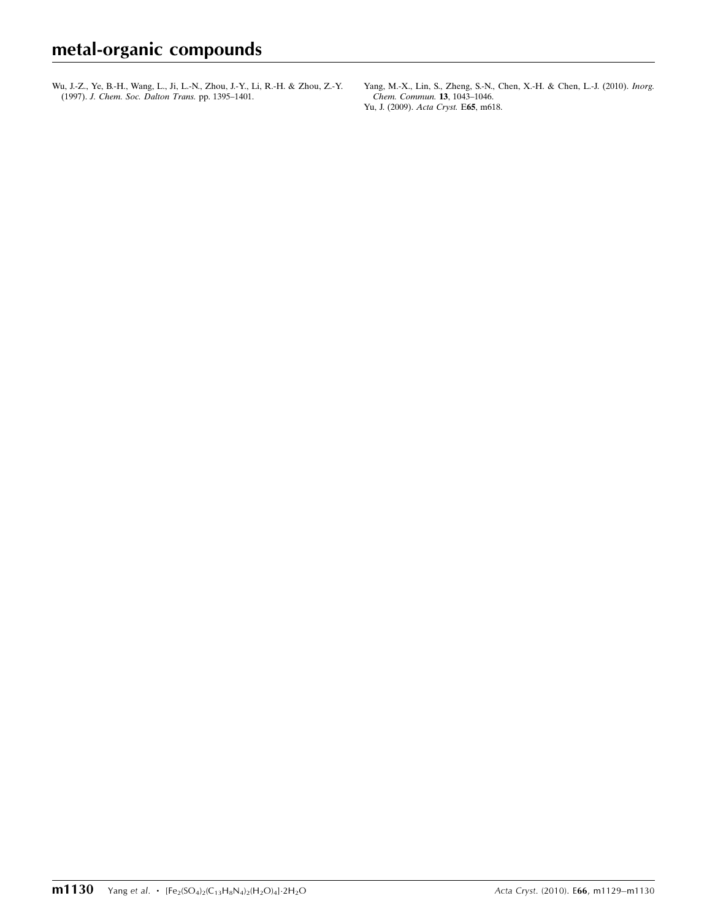[Wu, J.-Z., Ye, B.-H., Wang, L., Ji, L.-N., Zhou, J.-Y., Li, R.-H. & Zhou, Z.-Y.](https://scripts.iucr.org/cgi-bin/cr.cgi?rm=pdfbb&cnor=xu5012&bbid=BB5) (1997). [J. Chem. Soc. Dalton Trans.](https://scripts.iucr.org/cgi-bin/cr.cgi?rm=pdfbb&cnor=xu5012&bbid=BB5) pp. 1395–1401.

[Yang, M.-X., Lin, S., Zheng, S.-N., Chen, X.-H. & Chen, L.-J. \(2010\).](https://scripts.iucr.org/cgi-bin/cr.cgi?rm=pdfbb&cnor=xu5012&bbid=BB6) Inorg. [Chem. Commun.](https://scripts.iucr.org/cgi-bin/cr.cgi?rm=pdfbb&cnor=xu5012&bbid=BB6) 13, 1043–1046. [Yu, J. \(2009\).](https://scripts.iucr.org/cgi-bin/cr.cgi?rm=pdfbb&cnor=xu5012&bbid=BB7) Acta Cryst. E65, m618.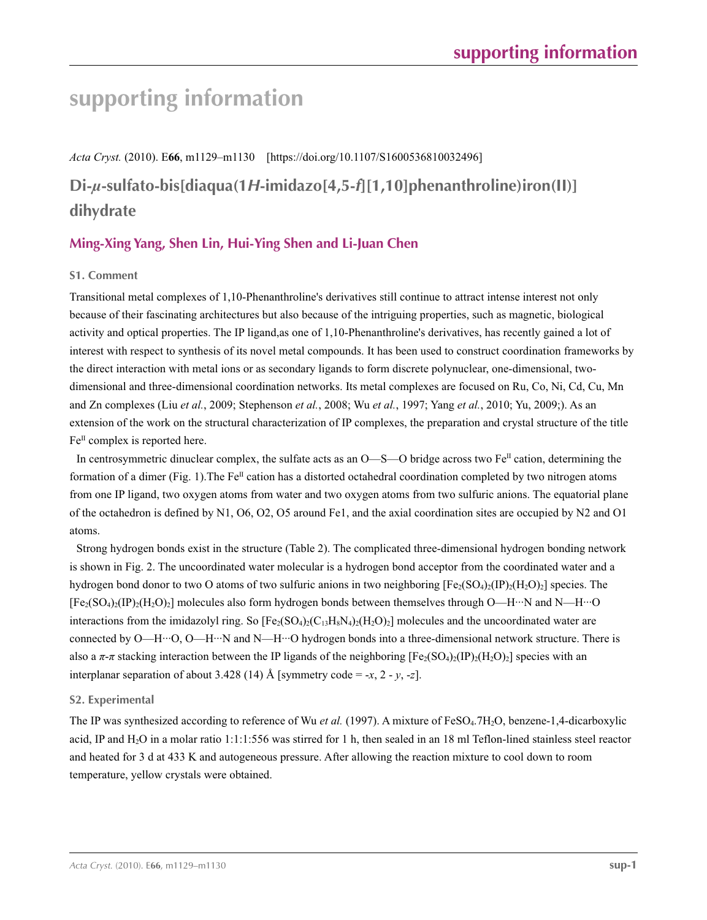# **supporting information**

*Acta Cryst.* (2010). E**66**, m1129–m1130 [https://doi.org/10.1107/S1600536810032496]

# **Di-***µ***-sulfato-bis[diaqua(1***H***-imidazo[4,5-***f***][1,10]phenanthroline)iron(II)] dihydrate**

# **Ming-Xing Yang, Shen Lin, Hui-Ying Shen and Li-Juan Chen**

# **S1. Comment**

Transitional metal complexes of 1,10-Phenanthroline's derivatives still continue to attract intense interest not only because of their fascinating architectures but also because of the intriguing properties, such as magnetic, biological activity and optical properties. The IP ligand,as one of 1,10-Phenanthroline's derivatives, has recently gained a lot of interest with respect to synthesis of its novel metal compounds. It has been used to construct coordination frameworks by the direct interaction with metal ions or as secondary ligands to form discrete polynuclear, one-dimensional, twodimensional and three-dimensional coordination networks. Its metal complexes are focused on Ru, Co, Ni, Cd, Cu, Mn and Zn complexes (Liu *et al.*, 2009; Stephenson *et al.*, 2008; Wu *et al.*, 1997; Yang *et al.*, 2010; Yu, 2009;). As an extension of the work on the structural characterization of IP complexes, the preparation and crystal structure of the title  $Fe<sup>H</sup>$  complex is reported here.

In centrosymmetric dinuclear complex, the sulfate acts as an  $O$ —S—O bridge across two Fe<sup>II</sup> cation, determining the formation of a dimer (Fig. 1). The  $Fe^{II}$  cation has a distorted octahedral coordination completed by two nitrogen atoms from one IP ligand, two oxygen atoms from water and two oxygen atoms from two sulfuric anions. The equatorial plane of the octahedron is defined by N1, O6, O2, O5 around Fe1, and the axial coordination sites are occupied by N2 and O1 atoms.

Strong hydrogen bonds exist in the structure (Table 2). The complicated three-dimensional hydrogen bonding network is shown in Fig. 2. The uncoordinated water molecular is a hydrogen bond acceptor from the coordinated water and a hydrogen bond donor to two O atoms of two sulfuric anions in two neighboring  $[Fe_2(SO_4)_2(IP)_2(H_2O)_2]$  species. The  $[Fe_2(SO_4)_2(IP)_2(H_2O)_2]$  molecules also form hydrogen bonds between themselves through O—H···N and N—H···O interactions from the imidazolyl ring. So  $[Fe_2(SO_4)_2(C_{13}H_8N_4)_2(H_2O)_2]$  molecules and the uncoordinated water are connected by O—H…O, O—H…N and N—H…O hydrogen bonds into a three-dimensional network structure. There is also a  $\pi$ - $\pi$  stacking interaction between the IP ligands of the neighboring  $[Fe_2(SO_4)_2(IP)_2(H_2O)_2]$  species with an interplanar separation of about 3.428 (14) Å [symmetry code = -*x*, 2 - *y*, -*z*].

# **S2. Experimental**

The IP was synthesized according to reference of Wu *et al.* (1997). A mixture of FeSO<sub>4</sub>.7H<sub>2</sub>O, benzene-1,4-dicarboxylic acid, IP and  $H_2O$  in a molar ratio 1:1:1:556 was stirred for 1 h, then sealed in an 18 ml Teflon-lined stainless steel reactor and heated for 3 d at 433 K and autogeneous pressure. After allowing the reaction mixture to cool down to room temperature, yellow crystals were obtained.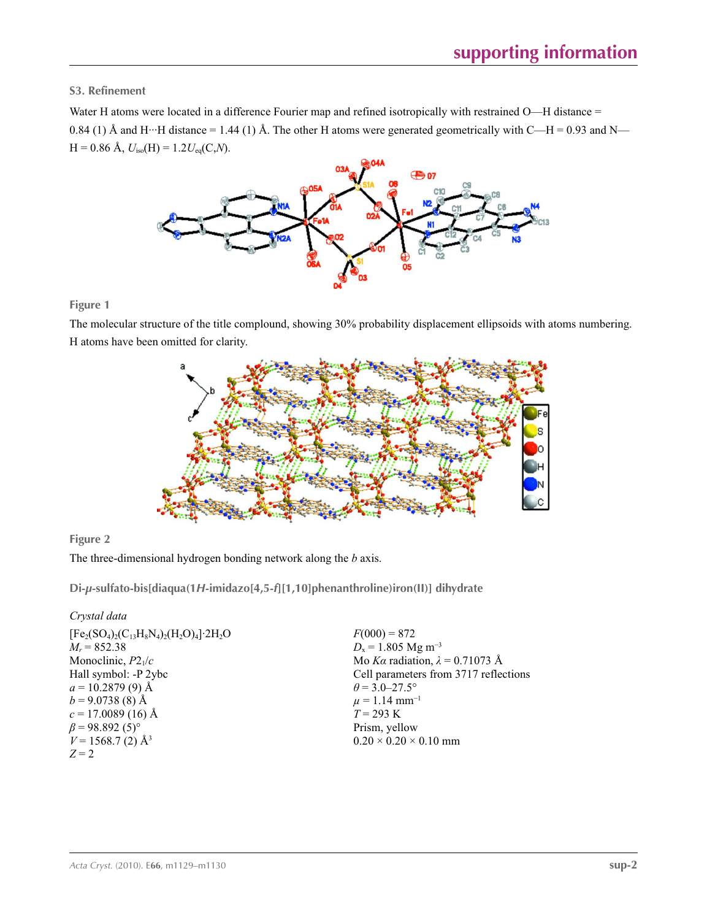**S3. Refinement** 

Water H atoms were located in a difference Fourier map and refined isotropically with restrained O—H distance = 0.84 (1) Å and H···H distance = 1.44 (1) Å. The other H atoms were generated geometrically with C—H = 0.93 and N—  $H = 0.86$  Å,  $U_{iso}(H) = 1.2 U_{eq}(C,N)$ .



## **Figure 1**

The molecular structure of the title complound, showing 30% probability displacement ellipsoids with atoms numbering. H atoms have been omitted for clarity.



## **Figure 2**

The three-dimensional hydrogen bonding network along the *b* axis.

**Di-***µ***-sulfato-bis[diaqua(1***H***-imidazo[4,5-***f***][1,10]phenanthroline)iron(II)] dihydrate** 

## *Crystal data*

| $[Fe_2(SO_4)_2(C_{13}H_8N_4)_2(H_2O)_4]$ 2H <sub>2</sub> O |
|------------------------------------------------------------|
| $M_r = 852.38$                                             |
| Monoclinic, $P2_1/c$                                       |
| Hall symbol: -P 2ybc                                       |
| $a = 10.2879(9)$ Å                                         |
| $b = 9.0738(8)$ Å                                          |
| $c = 17.0089(16)$ Å                                        |
| $\beta$ = 98.892 (5) <sup>o</sup>                          |
| $V = 1568.7(2)$ Å <sup>3</sup>                             |
| $Z=2$                                                      |
|                                                            |

 $F(000) = 872$ *D*<sub>x</sub> = 1.805 Mg m<sup>-3</sup> Mo *Kα* radiation, *λ* = 0.71073 Å Cell parameters from 3717 reflections  $\theta$  = 3.0–27.5°  $\mu = 1.14$  mm<sup>-1</sup> *T* = 293 K Prism, yellow  $0.20 \times 0.20 \times 0.10$  mm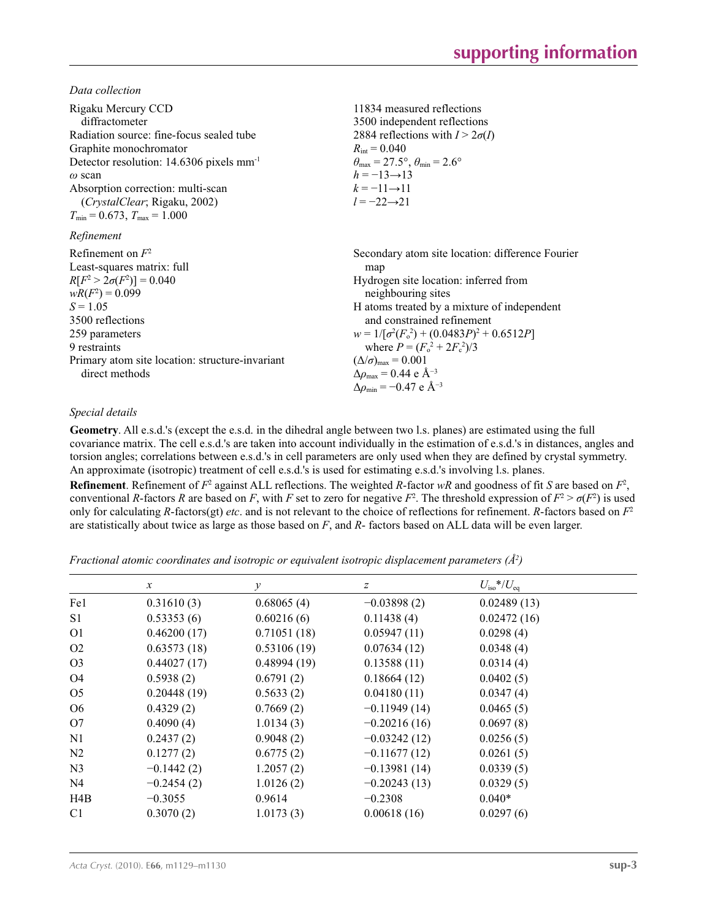*Data collection*

| Rigaku Mercury CCD<br>diffractometer<br>Radiation source: fine-focus sealed tube<br>Graphite monochromator<br>Detector resolution: 14.6306 pixels mm <sup>-1</sup><br>$\omega$ scan<br>Absorption correction: multi-scan<br>(CrystalClear; Rigaku, 2002)<br>$T_{\min}$ = 0.673, $T_{\max}$ = 1.000 | 11834 measured reflections<br>3500 independent reflections<br>2884 reflections with $I > 2\sigma(I)$<br>$R_{\rm int} = 0.040$<br>$\theta_{\text{max}} = 27.5^{\circ}, \theta_{\text{min}} = 2.6^{\circ}$<br>$h = -13 \rightarrow 13$<br>$k = -11 \rightarrow 11$<br>$l = -22 \rightarrow 21$                                                                                                                                                   |
|----------------------------------------------------------------------------------------------------------------------------------------------------------------------------------------------------------------------------------------------------------------------------------------------------|------------------------------------------------------------------------------------------------------------------------------------------------------------------------------------------------------------------------------------------------------------------------------------------------------------------------------------------------------------------------------------------------------------------------------------------------|
| Refinement                                                                                                                                                                                                                                                                                         |                                                                                                                                                                                                                                                                                                                                                                                                                                                |
| Refinement on $F^2$<br>Least-squares matrix: full<br>$R[F^2 > 2\sigma(F^2)] = 0.040$<br>$wR(F^2) = 0.099$<br>$S = 1.05$<br>3500 reflections<br>259 parameters<br>9 restraints<br>Primary atom site location: structure-invariant<br>direct methods                                                 | Secondary atom site location: difference Fourier<br>map<br>Hydrogen site location: inferred from<br>neighbouring sites<br>H atoms treated by a mixture of independent<br>and constrained refinement<br>$w = 1/[\sigma^2(F_0^2) + (0.0483P)^2 + 0.6512P]$<br>where $P = (F_o^2 + 2F_c^2)/3$<br>$(\Delta/\sigma)_{\text{max}} = 0.001$<br>$\Delta\rho_{\text{max}} = 0.44$ e Å <sup>-3</sup><br>$\Delta\rho_{\rm min}$ = -0.47 e Å <sup>-3</sup> |

## *Special details*

**Geometry**. All e.s.d.'s (except the e.s.d. in the dihedral angle between two l.s. planes) are estimated using the full covariance matrix. The cell e.s.d.'s are taken into account individually in the estimation of e.s.d.'s in distances, angles and torsion angles; correlations between e.s.d.'s in cell parameters are only used when they are defined by crystal symmetry. An approximate (isotropic) treatment of cell e.s.d.'s is used for estimating e.s.d.'s involving l.s. planes.

**Refinement**. Refinement of  $F^2$  against ALL reflections. The weighted *R*-factor  $wR$  and goodness of fit *S* are based on  $F^2$ , conventional *R*-factors *R* are based on *F*, with *F* set to zero for negative  $F^2$ . The threshold expression of  $F^2 > \sigma(F^2)$  is used only for calculating *R*-factors(gt) *etc*. and is not relevant to the choice of reflections for refinement. *R*-factors based on *F*<sup>2</sup> are statistically about twice as large as those based on *F*, and *R*- factors based on ALL data will be even larger.

*Fractional atomic coordinates and isotropic or equivalent isotropic displacement parameters (Å2 )*

|                | $\mathcal{X}$ | y           | z              | $U_{\rm iso}*/U_{\rm eq}$ |  |
|----------------|---------------|-------------|----------------|---------------------------|--|
| Fe1            | 0.31610(3)    | 0.68065(4)  | $-0.03898(2)$  | 0.02489(13)               |  |
| S1             | 0.53353(6)    | 0.60216(6)  | 0.11438(4)     | 0.02472(16)               |  |
| O <sub>1</sub> | 0.46200(17)   | 0.71051(18) | 0.05947(11)    | 0.0298(4)                 |  |
| O <sub>2</sub> | 0.63573(18)   | 0.53106(19) | 0.07634(12)    | 0.0348(4)                 |  |
| O <sub>3</sub> | 0.44027(17)   | 0.48994(19) | 0.13588(11)    | 0.0314(4)                 |  |
| O4             | 0.5938(2)     | 0.6791(2)   | 0.18664(12)    | 0.0402(5)                 |  |
| O <sub>5</sub> | 0.20448(19)   | 0.5633(2)   | 0.04180(11)    | 0.0347(4)                 |  |
| O <sub>6</sub> | 0.4329(2)     | 0.7669(2)   | $-0.11949(14)$ | 0.0465(5)                 |  |
| O7             | 0.4090(4)     | 1.0134(3)   | $-0.20216(16)$ | 0.0697(8)                 |  |
| N <sub>1</sub> | 0.2437(2)     | 0.9048(2)   | $-0.03242(12)$ | 0.0256(5)                 |  |
| N <sub>2</sub> | 0.1277(2)     | 0.6775(2)   | $-0.11677(12)$ | 0.0261(5)                 |  |
| N <sub>3</sub> | $-0.1442(2)$  | 1.2057(2)   | $-0.13981(14)$ | 0.0339(5)                 |  |
| N <sub>4</sub> | $-0.2454(2)$  | 1.0126(2)   | $-0.20243(13)$ | 0.0329(5)                 |  |
| H4B            | $-0.3055$     | 0.9614      | $-0.2308$      | $0.040*$                  |  |
| C <sub>1</sub> | 0.3070(2)     | 1.0173(3)   | 0.00618(16)    | 0.0297(6)                 |  |
|                |               |             |                |                           |  |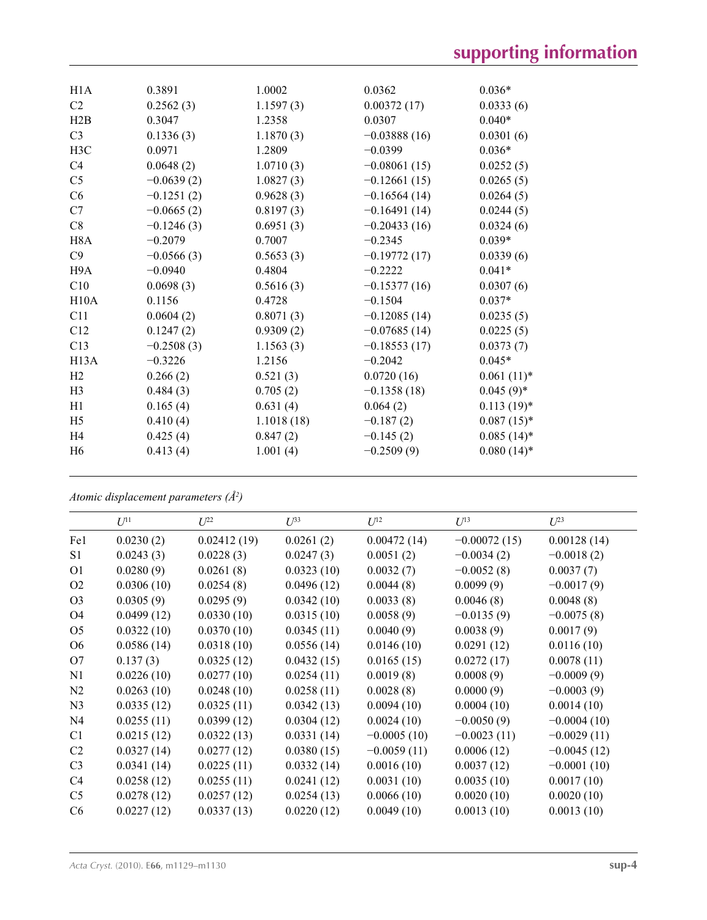| H1A              | 0.3891       | 1.0002     | 0.0362         | $0.036*$      |
|------------------|--------------|------------|----------------|---------------|
| C <sub>2</sub>   | 0.2562(3)    | 1.1597(3)  | 0.00372(17)    | 0.0333(6)     |
| H2B              | 0.3047       | 1.2358     | 0.0307         | $0.040*$      |
| C <sub>3</sub>   | 0.1336(3)    | 1.1870(3)  | $-0.03888(16)$ | 0.0301(6)     |
| H <sub>3</sub> C | 0.0971       | 1.2809     | $-0.0399$      | $0.036*$      |
| C4               | 0.0648(2)    | 1.0710(3)  | $-0.08061(15)$ | 0.0252(5)     |
| C <sub>5</sub>   | $-0.0639(2)$ | 1.0827(3)  | $-0.12661(15)$ | 0.0265(5)     |
| C6               | $-0.1251(2)$ | 0.9628(3)  | $-0.16564(14)$ | 0.0264(5)     |
| C7               | $-0.0665(2)$ | 0.8197(3)  | $-0.16491(14)$ | 0.0244(5)     |
| C8               | $-0.1246(3)$ | 0.6951(3)  | $-0.20433(16)$ | 0.0324(6)     |
| H <sub>8</sub> A | $-0.2079$    | 0.7007     | $-0.2345$      | $0.039*$      |
| C9               | $-0.0566(3)$ | 0.5653(3)  | $-0.19772(17)$ | 0.0339(6)     |
| H9A              | $-0.0940$    | 0.4804     | $-0.2222$      | $0.041*$      |
| C10              | 0.0698(3)    | 0.5616(3)  | $-0.15377(16)$ | 0.0307(6)     |
| H10A             | 0.1156       | 0.4728     | $-0.1504$      | $0.037*$      |
| C11              | 0.0604(2)    | 0.8071(3)  | $-0.12085(14)$ | 0.0235(5)     |
| C12              | 0.1247(2)    | 0.9309(2)  | $-0.07685(14)$ | 0.0225(5)     |
| C13              | $-0.2508(3)$ | 1.1563(3)  | $-0.18553(17)$ | 0.0373(7)     |
| H13A             | $-0.3226$    | 1.2156     | $-0.2042$      | $0.045*$      |
| H2               | 0.266(2)     | 0.521(3)   | 0.0720(16)     | $0.061(11)*$  |
| H <sub>3</sub>   | 0.484(3)     | 0.705(2)   | $-0.1358(18)$  | $0.045(9)$ *  |
| H1               | 0.165(4)     | 0.631(4)   | 0.064(2)       | $0.113(19)*$  |
| H <sub>5</sub>   | 0.410(4)     | 1.1018(18) | $-0.187(2)$    | $0.087(15)*$  |
| H4               | 0.425(4)     | 0.847(2)   | $-0.145(2)$    | $0.085(14)^*$ |
| H <sub>6</sub>   | 0.413(4)     | 1.001(4)   | $-0.2509(9)$   | $0.080(14)*$  |
|                  |              |            |                |               |

*Atomic displacement parameters (Å2 )*

|                | $U^{11}$   | $U^{22}$    | $U^{33}$   | $U^{12}$      | $U^{13}$       | $U^{23}$      |
|----------------|------------|-------------|------------|---------------|----------------|---------------|
| Fe1            | 0.0230(2)  | 0.02412(19) | 0.0261(2)  | 0.00472(14)   | $-0.00072(15)$ | 0.00128(14)   |
| S1             | 0.0243(3)  | 0.0228(3)   | 0.0247(3)  | 0.0051(2)     | $-0.0034(2)$   | $-0.0018(2)$  |
| O <sub>1</sub> | 0.0280(9)  | 0.0261(8)   | 0.0323(10) | 0.0032(7)     | $-0.0052(8)$   | 0.0037(7)     |
| O <sub>2</sub> | 0.0306(10) | 0.0254(8)   | 0.0496(12) | 0.0044(8)     | 0.0099(9)      | $-0.0017(9)$  |
| O <sub>3</sub> | 0.0305(9)  | 0.0295(9)   | 0.0342(10) | 0.0033(8)     | 0.0046(8)      | 0.0048(8)     |
| O <sub>4</sub> | 0.0499(12) | 0.0330(10)  | 0.0315(10) | 0.0058(9)     | $-0.0135(9)$   | $-0.0075(8)$  |
| O <sub>5</sub> | 0.0322(10) | 0.0370(10)  | 0.0345(11) | 0.0040(9)     | 0.0038(9)      | 0.0017(9)     |
| O <sub>6</sub> | 0.0586(14) | 0.0318(10)  | 0.0556(14) | 0.0146(10)    | 0.0291(12)     | 0.0116(10)    |
| O7             | 0.137(3)   | 0.0325(12)  | 0.0432(15) | 0.0165(15)    | 0.0272(17)     | 0.0078(11)    |
| N1             | 0.0226(10) | 0.0277(10)  | 0.0254(11) | 0.0019(8)     | 0.0008(9)      | $-0.0009(9)$  |
| N2             | 0.0263(10) | 0.0248(10)  | 0.0258(11) | 0.0028(8)     | 0.0000(9)      | $-0.0003(9)$  |
| N <sub>3</sub> | 0.0335(12) | 0.0325(11)  | 0.0342(13) | 0.0094(10)    | 0.0004(10)     | 0.0014(10)    |
| N <sub>4</sub> | 0.0255(11) | 0.0399(12)  | 0.0304(12) | 0.0024(10)    | $-0.0050(9)$   | $-0.0004(10)$ |
| C <sub>1</sub> | 0.0215(12) | 0.0322(13)  | 0.0331(14) | $-0.0005(10)$ | $-0.0023(11)$  | $-0.0029(11)$ |
| C <sub>2</sub> | 0.0327(14) | 0.0277(12)  | 0.0380(15) | $-0.0059(11)$ | 0.0006(12)     | $-0.0045(12)$ |
| C <sub>3</sub> | 0.0341(14) | 0.0225(11)  | 0.0332(14) | 0.0016(10)    | 0.0037(12)     | $-0.0001(10)$ |
| C4             | 0.0258(12) | 0.0255(11)  | 0.0241(12) | 0.0031(10)    | 0.0035(10)     | 0.0017(10)    |
| C <sub>5</sub> | 0.0278(12) | 0.0257(12)  | 0.0254(13) | 0.0066(10)    | 0.0020(10)     | 0.0020(10)    |
| C6             | 0.0227(12) | 0.0337(13)  | 0.0220(12) | 0.0049(10)    | 0.0013(10)     | 0.0013(10)    |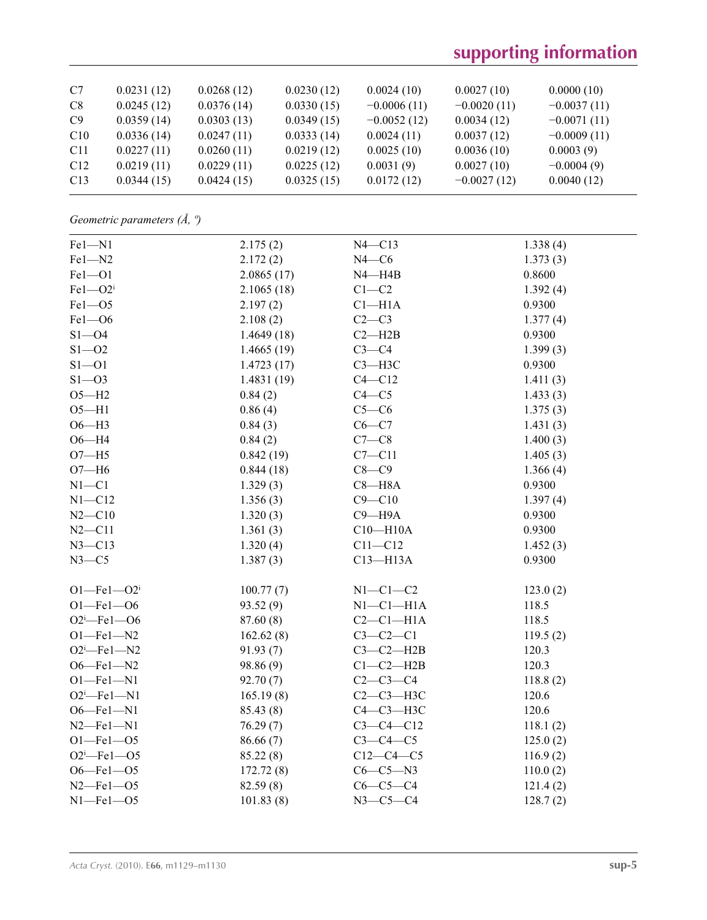# **supporting information**

| C7              | 0.0231(12) | 0.0268(12) | 0.0230(12) | 0.0024(10)    | 0.0027(10)    | 0.0000(10)    |
|-----------------|------------|------------|------------|---------------|---------------|---------------|
| C8              | 0.0245(12) | 0.0376(14) | 0.0330(15) | $-0.0006(11)$ | $-0.0020(11)$ | $-0.0037(11)$ |
| C9              | 0.0359(14) | 0.0303(13) | 0.0349(15) | $-0.0052(12)$ | 0.0034(12)    | $-0.0071(11)$ |
| C10             | 0.0336(14) | 0.0247(11) | 0.0333(14) | 0.0024(11)    | 0.0037(12)    | $-0.0009(11)$ |
| C <sub>11</sub> | 0.0227(11) | 0.0260(11) | 0.0219(12) | 0.0025(10)    | 0.0036(10)    | 0.0003(9)     |
| C12             | 0.0219(11) | 0.0229(11) | 0.0225(12) | 0.0031(9)     | 0.0027(10)    | $-0.0004(9)$  |
| C13             | 0.0344(15) | 0.0424(15) | 0.0325(15) | 0.0172(12)    | $-0.0027(12)$ | 0.0040(12)    |

*Geometric parameters (Å, º)*

| Fel-N1            | 2.175(2)   | $N4 - C13$      | 1.338(4) |
|-------------------|------------|-----------------|----------|
| $Fe1 - N2$        | 2.172(2)   | $N4 - C6$       | 1.373(3) |
| $Fe1 - O1$        | 2.0865(17) | $N4 - H4B$      | 0.8600   |
| $Fe1 - O2i$       | 2.1065(18) | $C1-C2$         | 1.392(4) |
| $Fe1 - O5$        | 2.197(2)   | $Cl-H1A$        | 0.9300   |
| $Fe1 - O6$        | 2.108(2)   | $C2-C3$         | 1.377(4) |
| $S1 - 04$         | 1.4649(18) | $C2 - H2B$      | 0.9300   |
| $S1 - 02$         | 1.4665(19) | $C3-C4$         | 1.399(3) |
| $S1 - 01$         | 1.4723(17) | $C3 - H3C$      | 0.9300   |
| $S1 - 03$         | 1.4831(19) | $C4 - C12$      | 1.411(3) |
| $O5 - H2$         | 0.84(2)    | $C4 - C5$       | 1.433(3) |
| $O5 - H1$         | 0.86(4)    | $C5-C6$         | 1.375(3) |
| $O6 - H3$         | 0.84(3)    | $C6-C7$         | 1.431(3) |
| $O6 - H4$         | 0.84(2)    | $C7-C8$         | 1.400(3) |
| $O7 - H5$         | 0.842(19)  | $C7 - C11$      | 1.405(3) |
| $O7 - H6$         | 0.844(18)  | $C8-C9$         | 1.366(4) |
| $N1 - C1$         | 1.329(3)   | $C8 - H8A$      | 0.9300   |
| $N1 - C12$        | 1.356(3)   | $C9 - C10$      | 1.397(4) |
| $N2 - C10$        | 1.320(3)   | $C9 - H9A$      | 0.9300   |
| $N2 - C11$        | 1.361(3)   | $C10 - H10A$    | 0.9300   |
| $N3 - C13$        | 1.320(4)   | $C11 - C12$     | 1.452(3) |
| $N3-C5$           | 1.387(3)   | $C13 - H13A$    | 0.9300   |
| $O1 - Fe1 - O2i$  | 100.77(7)  | $N1-C1-C2$      | 123.0(2) |
| $O1 - Fe1 - O6$   | 93.52(9)   | $N1-C1-H1A$     | 118.5    |
| $O2^i$ -Fel- $O6$ | 87.60 (8)  | $C2-C1-H1A$     | 118.5    |
| $O1 - Fe1 - N2$   | 162.62(8)  | $C3-C2-C1$      | 119.5(2) |
| $O2^i$ -Fel-N2    | 91.93(7)   | $C3-C2-H2B$     | 120.3    |
| $O6 - Fe1 - N2$   | 98.86 (9)  | $C1-C2-H2B$     | 120.3    |
| $O1 - Fe1 - N1$   | 92.70(7)   | $C2-C3-C4$      | 118.8(2) |
| $O2^i$ -Fel-N1    | 165.19(8)  | $C2-C3-H3C$     | 120.6    |
| $O6 - Fe1 - N1$   | 85.43 (8)  | С4-С3-Н3С       | 120.6    |
| $N2$ -Fel-N1      | 76.29(7)   | $C3 - C4 - C12$ | 118.1(2) |
| $O1 - Fe1 - O5$   | 86.66(7)   | $C3-C4-C5$      | 125.0(2) |
| $O2^i$ -Fel- $O5$ | 85.22(8)   | $C12-C4-C5$     | 116.9(2) |
| $O6 - Fe1 - O5$   | 172.72(8)  | $C6-C5-N3$      | 110.0(2) |
| $N2$ –Fel–O5      | 82.59 (8)  | $C6-C5-C4$      | 121.4(2) |
| $N1$ -Fel- $O5$   | 101.83(8)  | $N3 - C5 - C4$  | 128.7(2) |
|                   |            |                 |          |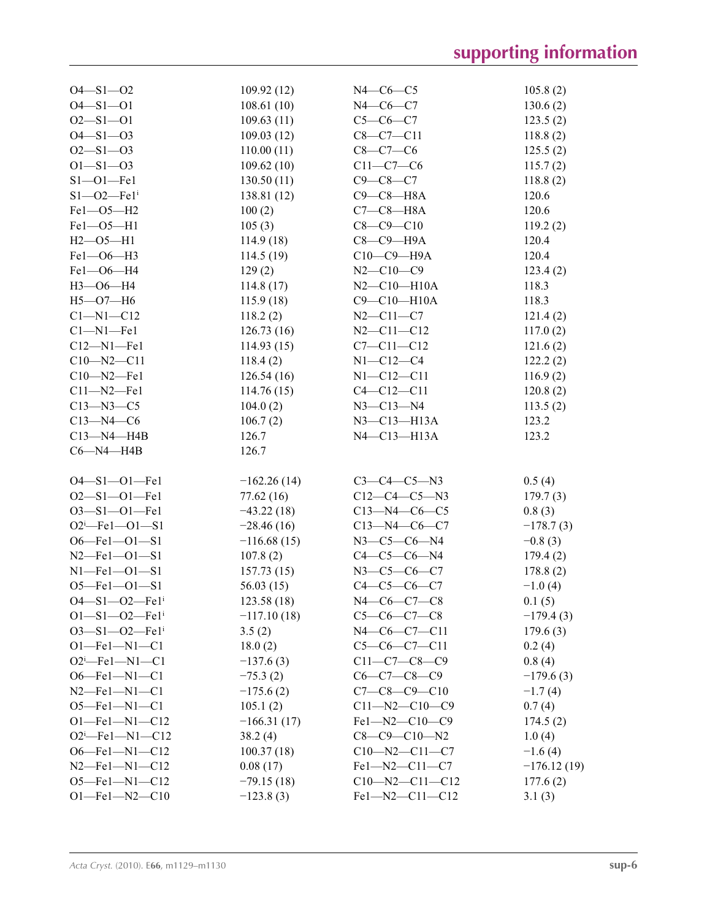| $O4 - S1 - O2$                            | 109.92(12)                  | $N4$ — $C6$ — $C5$               | 105.8(2)      |
|-------------------------------------------|-----------------------------|----------------------------------|---------------|
| $O4 - S1 - O1$                            | 108.61(10)                  | $N4$ - $C6$ - $C7$               | 130.6(2)      |
| $O2 - S1 - O1$                            | 109.63(11)                  | $C5-C6-C7$                       | 123.5(2)      |
| $O4 - S1 - O3$                            | 109.03(12)                  | $C8-C7-C11$                      | 118.8(2)      |
| $O2 - S1 - O3$                            | 110.00(11)                  | $C8-C7-C6$                       | 125.5(2)      |
| $O1 - S1 - O3$                            | 109.62(10)                  | $C11-C7-C6$                      | 115.7(2)      |
| $S1 - 01 - Fe1$                           | 130.50(11)                  | $C9 - C8 - C7$                   | 118.8(2)      |
| $S1 - 02 - Fe1$ <sup>i</sup>              | 138.81(12)                  | $C9-C8-H8A$                      | 120.6         |
| Fe1-05-H2                                 | 100(2)                      | $C7-C8-H8A$                      | 120.6         |
| $Fe1 - O5 - H1$                           | 105(3)                      | $C8 - C9 - C10$                  | 119.2(2)      |
| $H2 - 05 - H1$                            | 114.9(18)                   | $C8-C9-H9A$                      | 120.4         |
| Fe1-06-H3                                 | 114.5(19)                   | $C10-C9-H9A$                     | 120.4         |
| Fe1-06-H4                                 | 129(2)                      | $N2 - C10 - C9$                  | 123.4(2)      |
| $H3 - 06 - H4$                            | 114.8(17)                   | $N2 - C10 - H10A$                | 118.3         |
| $H5 - O7 - H6$                            | 115.9(18)                   | $C9 - C10 - H10A$                | 118.3         |
| $Cl-M1-C12$                               | 118.2(2)                    | $N2 - C11 - C7$                  | 121.4(2)      |
| $C1-M1$ -Fel                              | 126.73(16)                  | $N2 - C11 - C12$                 | 117.0(2)      |
| $C12 - N1 - Fe1$                          | 114.93(15)                  | $C7 - C11 - C12$                 | 121.6(2)      |
| $C10 - N2 - C11$                          | 118.4(2)                    | $N1 - C12 - C4$                  | 122.2(2)      |
| $C10 - N2 - Fe1$                          | 126.54(16)                  | $N1 - C12 - C11$                 | 116.9(2)      |
| $C11 - N2 - Fe1$                          | 114.76(15)                  | $C4 - C12 - C11$                 | 120.8(2)      |
| $C13 - N3 - C5$                           | 104.0(2)                    | $N3 - C13 - N4$                  | 113.5(2)      |
| $C13 - N4 - C6$                           | 106.7(2)                    | $N3 - C13 - H13A$                | 123.2         |
| $C13 - N4 - H4B$                          | 126.7                       | $N4$ –C13–H13A                   | 123.2         |
| $C6 - N4 - H4B$                           | 126.7                       |                                  |               |
|                                           |                             |                                  |               |
| $O4 - S1 - O1 - Fe1$                      | $-162.26(14)$               | $C3-C4-C5-N3$                    | 0.5(4)        |
| $O2 - S1 - O1 - Fe1$                      | 77.62 (16)                  | $C12-C4-C5-N3$                   | 179.7(3)      |
| $O3 - S1 - O1 - Fe1$                      | $-43.22(18)$                | $C13 - N4 - C6 - C5$             | 0.8(3)        |
| $O2^i$ -Fel- $O1$ -S1                     | $-28.46(16)$                | $C13 - N4 - C6 - C7$             | $-178.7(3)$   |
| $O6$ -Fel- $O1$ -S1                       | $-116.68(15)$               | $N3-C5-C6-N4$                    | $-0.8(3)$     |
| $N2$ -Fel-Ol-S1                           | 107.8(2)                    | $C4-C5-C6-N4$                    | 179.4(2)      |
| $N1 - Fe1 - O1 - S1$                      | 157.73(15)                  | $N3-C5-C6-C7$                    | 178.8(2)      |
| $O5 - Fe1 - O1 - S1$                      | 56.03(15)                   | $C4 - C5 - C6 - C7$              | $-1.0(4)$     |
| $O4 - S1 - O2 - Fe1$ <sup>i</sup>         | 123.58(18)                  | $N4$ —C6—C7—C8                   | 0.1(5)        |
| $O1 - S1 - O2 - Fe1$ <sup>i</sup>         | $-117.10(18)$               | $C5-C6-C7-C8$                    | $-179.4(3)$   |
| $O3 - S1 - O2 - Fe1$ <sup>i</sup>         | 3.5(2)                      | $N4-C6-C7-C11$                   | 179.6(3)      |
|                                           |                             |                                  |               |
| $O1 - Fe1 - N1 - C1$<br>$O2^i$ -Fel-N1-C1 | 18.0(2)<br>$-137.6(3)$      | $C5-C6-C7-C11$<br>$C11-C7-C8-C9$ | 0.2(4)        |
|                                           |                             |                                  | 0.8(4)        |
| $O6$ —Fel—N1—C1                           | $-75.3(2)$                  | $C6-C7-C8-C9$                    | $-179.6(3)$   |
| $N2$ —Fe1—N1—C1                           | $-175.6(2)$                 | $C7 - C8 - C9 - C10$             | $-1.7(4)$     |
| $O5$ —Fel—Nl—Cl                           | 105.1(2)                    | $C11 - N2 - C10 - C9$            | 0.7(4)        |
| $O1 - Fe1 - N1 - C12$                     | $-166.31(17)$               | $Fe1 - N2 - C10 - C9$            | 174.5(2)      |
| $O2^i$ -Fel-N1-C12                        | 38.2(4)                     | $C8-C9-C10-N2$                   | 1.0(4)        |
| $O6$ -Fel-N1-C12                          | 100.37(18)                  | $C10 - N2 - C11 - C7$            | $-1.6(4)$     |
| $N2$ —Fel—N1—C12                          | 0.08(17)                    | $Fe1 - N2 - C11 - C7$            | $-176.12(19)$ |
| $O5$ —Fel—N1—C12                          | $-79.15(18)$<br>$-123.8(3)$ | $C10 - N2 - C11 - C12$           | 177.6(2)      |
| $O1 - Fe1 - N2 - C10$                     |                             | Fel-N2-C11-C12                   | 3.1(3)        |